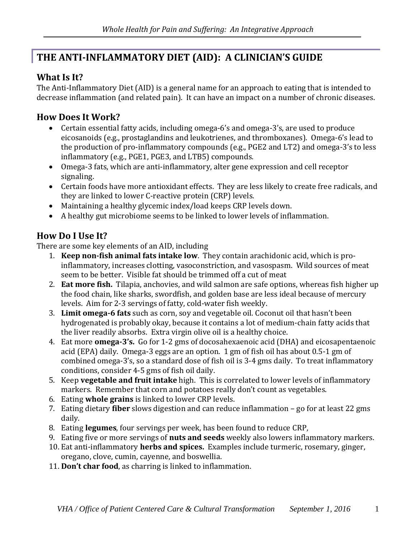# **THE ANTI-INFLAMMATORY DIET (AID): A CLINICIAN'S GUIDE**

#### **What Is It?**

The Anti-Inflammatory Diet (AID) is a general name for an approach to eating that is intended to decrease inflammation (and related pain). It can have an impact on a number of chronic diseases.

#### **How Does It Work?**

- Certain essential fatty acids, including omega-6's and omega-3's, are used to produce eicosanoids (e.g., prostaglandins and leukotrienes, and thromboxanes). Omega-6's lead to the production of pro-inflammatory compounds (e.g., PGE2 and LT2) and omega-3's to less inflammatory (e.g., PGE1, PGE3, and LTB5) compounds.
- Omega-3 fats, which are anti-inflammatory, alter gene expression and cell receptor signaling.
- Certain foods have more antioxidant effects. They are less likely to create free radicals, and they are linked to lower C-reactive protein (CRP) levels.
- Maintaining a healthy glycemic index/load keeps CRP levels down.
- A healthy gut microbiome seems to be linked to lower levels of inflammation.

### **How Do I Use It?**

There are some key elements of an AID, including

- 1. **Keep non-fish animal fats intake low**. They contain arachidonic acid, which is proinflammatory, increases clotting, vasoconstriction, and vasospasm. Wild sources of meat seem to be better. Visible fat should be trimmed off a cut of meat
- 2. **Eat more fish.** Tilapia, anchovies, and wild salmon are safe options, whereas fish higher up the food chain, like sharks, swordfish, and golden base are less ideal because of mercury levels. Aim for 2-3 servings of fatty, cold-water fish weekly.
- 3. **Limit omega-6 fats** such as corn, soy and vegetable oil. Coconut oil that hasn't been hydrogenated is probably okay, because it contains a lot of medium-chain fatty acids that the liver readily absorbs. Extra virgin olive oil is a healthy choice.
- 4. Eat more **omega-3's.** Go for 1-2 gms of docosahexaenoic acid (DHA) and eicosapentaenoic acid (EPA) daily. Omega-3 eggs are an option. 1 gm of fish oil has about 0.5-1 gm of combined omega-3's, so a standard dose of fish oil is 3-4 gms daily. To treat inflammatory conditions, consider 4-5 gms of fish oil daily.
- 5. Keep **vegetable and fruit intake** high. This is correlated to lower levels of inflammatory markers. Remember that corn and potatoes really don't count as vegetables.
- 6. Eating **whole grains** is linked to lower CRP levels.
- 7. Eating dietary **fiber** slows digestion and can reduce inflammation go for at least 22 gms daily.
- 8. Eating **legumes**, four servings per week, has been found to reduce CRP,
- 9. Eating five or more servings of **nuts and seeds** weekly also lowers inflammatory markers.
- 10. Eat anti-inflammatory **herbs and spices.** Examples include turmeric, rosemary, ginger, oregano, clove, cumin, cayenne, and boswellia.
- 11. **Don't char food**, as charring is linked to inflammation.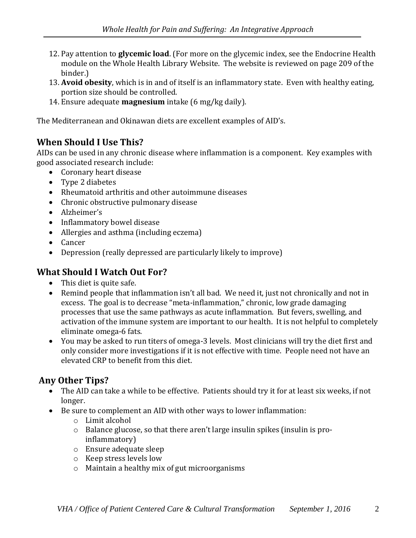- 12. Pay attention to **glycemic load**. (For more on the glycemic index, see the Endocrine Health module on the Whole Health Library Website. The website is reviewed on page 209 of the binder.)
- 13. **Avoid obesity**, which is in and of itself is an inflammatory state. Even with healthy eating, portion size should be controlled.
- 14. Ensure adequate **magnesium** intake (6 mg/kg daily).

The Mediterranean and Okinawan diets are excellent examples of AID's.

### **When Should I Use This?**

AIDs can be used in any chronic disease where inflammation is a component. Key examples with good associated research include:

- Coronary heart disease
- Type 2 diabetes
- Rheumatoid arthritis and other autoimmune diseases
- Chronic obstructive pulmonary disease
- Alzheimer's
- Inflammatory bowel disease
- Allergies and asthma (including eczema)
- Cancer
- Depression (really depressed are particularly likely to improve)

# **What Should I Watch Out For?**

- This diet is quite safe.
- Remind people that inflammation isn't all bad. We need it, just not chronically and not in excess. The goal is to decrease "meta-inflammation," chronic, low grade damaging processes that use the same pathways as acute inflammation. But fevers, swelling, and activation of the immune system are important to our health. It is not helpful to completely eliminate omega-6 fats.
- You may be asked to run titers of omega-3 levels. Most clinicians will try the diet first and only consider more investigations if it is not effective with time. People need not have an elevated CRP to benefit from this diet.

# **Any Other Tips?**

- The AID can take a while to be effective. Patients should try it for at least six weeks, if not longer.
- Be sure to complement an AID with other ways to lower inflammation:
	- o Limit alcohol
	- o Balance glucose, so that there aren't large insulin spikes (insulin is proinflammatory)
	- o Ensure adequate sleep
	- o Keep stress levels low
	- o Maintain a healthy mix of gut microorganisms